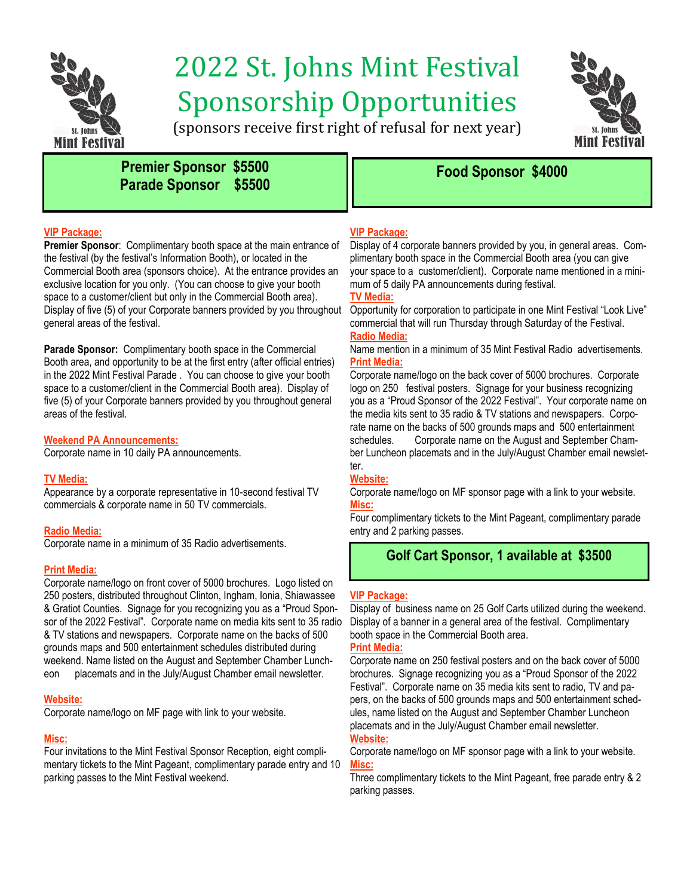

# 2022 St. Johns Mint Festival Sponsorship Opportunities



(sponsors receive first right of refusal for next year)

# **Fremier Sponsor \$5500 Premier Sponsor \$4000 Parade Sponsor \$5500**

#### **VIP Package:**

**Premier Sponsor**: Complimentary booth space at the main entrance of the festival (by the festival's Information Booth), or located in the Commercial Booth area (sponsors choice). At the entrance provides an exclusive location for you only. (You can choose to give your booth space to a customer/client but only in the Commercial Booth area). Display of five (5) of your Corporate banners provided by you throughout general areas of the festival.

**Parade Sponsor:** Complimentary booth space in the Commercial Booth area, and opportunity to be at the first entry (after official entries) in the 2022 Mint Festival Parade . You can choose to give your booth space to a customer/client in the Commercial Booth area). Display of five (5) of your Corporate banners provided by you throughout general areas of the festival.

#### **Weekend PA Announcements:**

Corporate name in 10 daily PA announcements.

#### **TV Media:**

Appearance by a corporate representative in 10-second festival TV commercials & corporate name in 50 TV commercials.

#### **Radio Media:**

Corporate name in a minimum of 35 Radio advertisements.

#### **Print Media:**

Corporate name/logo on front cover of 5000 brochures. Logo listed on 250 posters, distributed throughout Clinton, Ingham, Ionia, Shiawassee & Gratiot Counties. Signage for you recognizing you as a "Proud Sponsor of the 2022 Festival". Corporate name on media kits sent to 35 radio & TV stations and newspapers. Corporate name on the backs of 500 grounds maps and 500 entertainment schedules distributed during weekend. Name listed on the August and September Chamber Luncheon placemats and in the July/August Chamber email newsletter.

#### **Website:**

Corporate name/logo on MF page with link to your website.

#### **Misc:**

Four invitations to the Mint Festival Sponsor Reception, eight complimentary tickets to the Mint Pageant, complimentary parade entry and 10 parking passes to the Mint Festival weekend.

#### **VIP Package:**

Display of 4 corporate banners provided by you, in general areas. Complimentary booth space in the Commercial Booth area (you can give your space to a customer/client). Corporate name mentioned in a minimum of 5 daily PA announcements during festival.

#### **TV Media:**

Opportunity for corporation to participate in one Mint Festival "Look Live" commercial that will run Thursday through Saturday of the Festival. **Radio Media:**

Name mention in a minimum of 35 Mint Festival Radio advertisements. **Print Media:**

Corporate name/logo on the back cover of 5000 brochures. Corporate logo on 250 festival posters. Signage for your business recognizing you as a "Proud Sponsor of the 2022 Festival". Your corporate name on the media kits sent to 35 radio & TV stations and newspapers. Corporate name on the backs of 500 grounds maps and 500 entertainment schedules. Corporate name on the August and September Chamber Luncheon placemats and in the July/August Chamber email newsletter.

#### **Website:**

Corporate name/logo on MF sponsor page with a link to your website. **Misc:**

Four complimentary tickets to the Mint Pageant, complimentary parade entry and 2 parking passes.

# **Golf Cart Sponsor, 1 available at \$3500**

#### **VIP Package:**

Display of business name on 25 Golf Carts utilized during the weekend. Display of a banner in a general area of the festival. Complimentary booth space in the Commercial Booth area.

#### **Print Media:**

Corporate name on 250 festival posters and on the back cover of 5000 brochures. Signage recognizing you as a "Proud Sponsor of the 2022 Festival". Corporate name on 35 media kits sent to radio, TV and papers, on the backs of 500 grounds maps and 500 entertainment schedules, name listed on the August and September Chamber Luncheon placemats and in the July/August Chamber email newsletter.

#### **Website:**

Corporate name/logo on MF sponsor page with a link to your website. **Misc:**

Three complimentary tickets to the Mint Pageant, free parade entry & 2 parking passes.